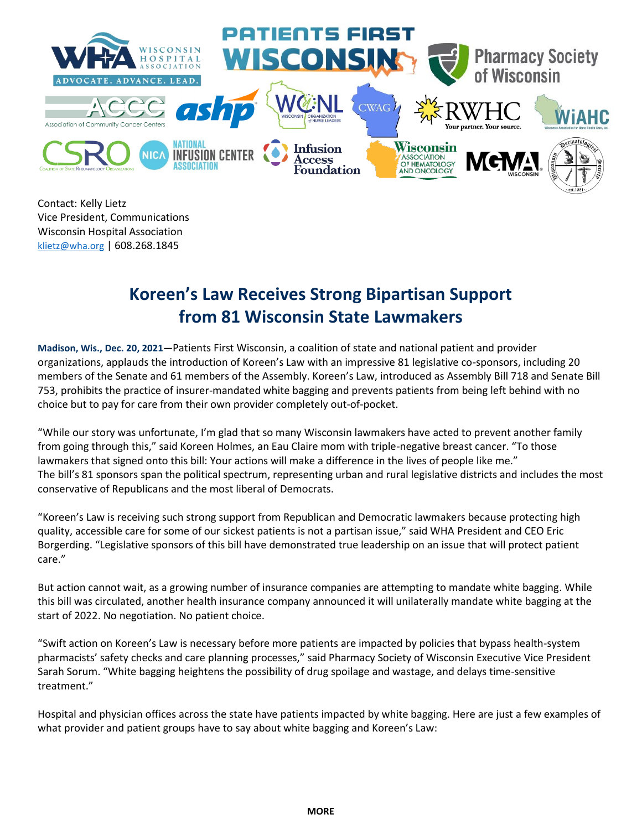

Contact: Kelly Lietz Vice President, Communications Wisconsin Hospital Association [klietz@wha.org](mailto:klietz@wha.org) | 608.268.1845

## **Koreen's Law Receives Strong Bipartisan Support from 81 Wisconsin State Lawmakers**

**Madison, Wis., Dec. 20, 2021—**Patients First Wisconsin, a coalition of state and national patient and provider organizations, applauds the introduction of Koreen's Law with an impressive 81 legislative co-sponsors, including 20 members of the Senate and 61 members of the Assembly. Koreen's Law, introduced as Assembly Bill 718 and Senate Bill 753, prohibits the practice of insurer-mandated white bagging and prevents patients from being left behind with no choice but to pay for care from their own provider completely out-of-pocket.

"While our story was unfortunate, I'm glad that so many Wisconsin lawmakers have acted to prevent another family from going through this," said Koreen Holmes, an Eau Claire mom with triple-negative breast cancer. "To those lawmakers that signed onto this bill: Your actions will make a difference in the lives of people like me." The bill's 81 sponsors span the political spectrum, representing urban and rural legislative districts and includes the most conservative of Republicans and the most liberal of Democrats.

"Koreen's Law is receiving such strong support from Republican and Democratic lawmakers because protecting high quality, accessible care for some of our sickest patients is not a partisan issue," said WHA President and CEO Eric Borgerding. "Legislative sponsors of this bill have demonstrated true leadership on an issue that will protect patient care."

But action cannot wait, as a growing number of insurance companies are attempting to mandate white bagging. While this bill was circulated, another health insurance company announced it will unilaterally mandate white bagging at the start of 2022. No negotiation. No patient choice.

"Swift action on Koreen's Law is necessary before more patients are impacted by policies that bypass health-system pharmacists' safety checks and care planning processes," said Pharmacy Society of Wisconsin Executive Vice President Sarah Sorum. "White bagging heightens the possibility of drug spoilage and wastage, and delays time-sensitive treatment."

Hospital and physician offices across the state have patients impacted by white bagging. Here are just a few examples of what provider and patient groups have to say about white bagging and Koreen's Law: